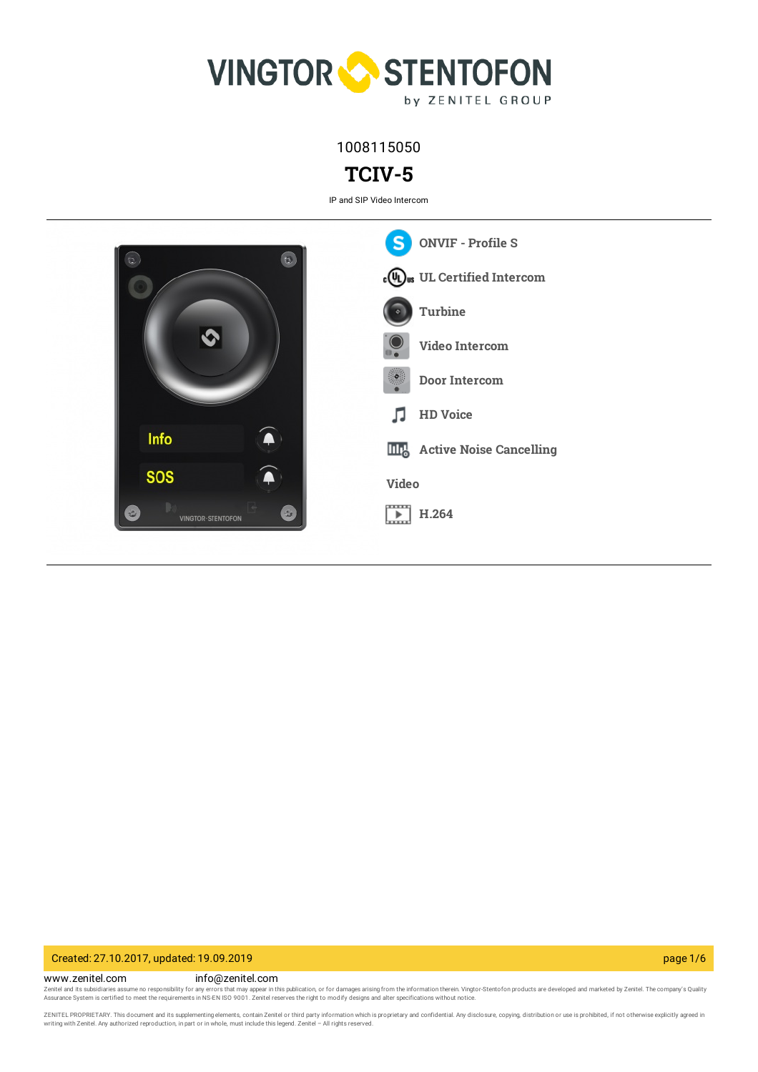

1008115050

# **TCIV-5**

IP and SIP Video Intercom



# Created: 27.10.2017, updated: 19.09.2019 page 1/6

www.zenitel.com info@zenitel.com

Zenitel and its subsidiaries assume no responsibility for any errors that may appear in this publication, or for damages arising from the information therein. Vingtor-Stentofon products are developed and marketed by Zenite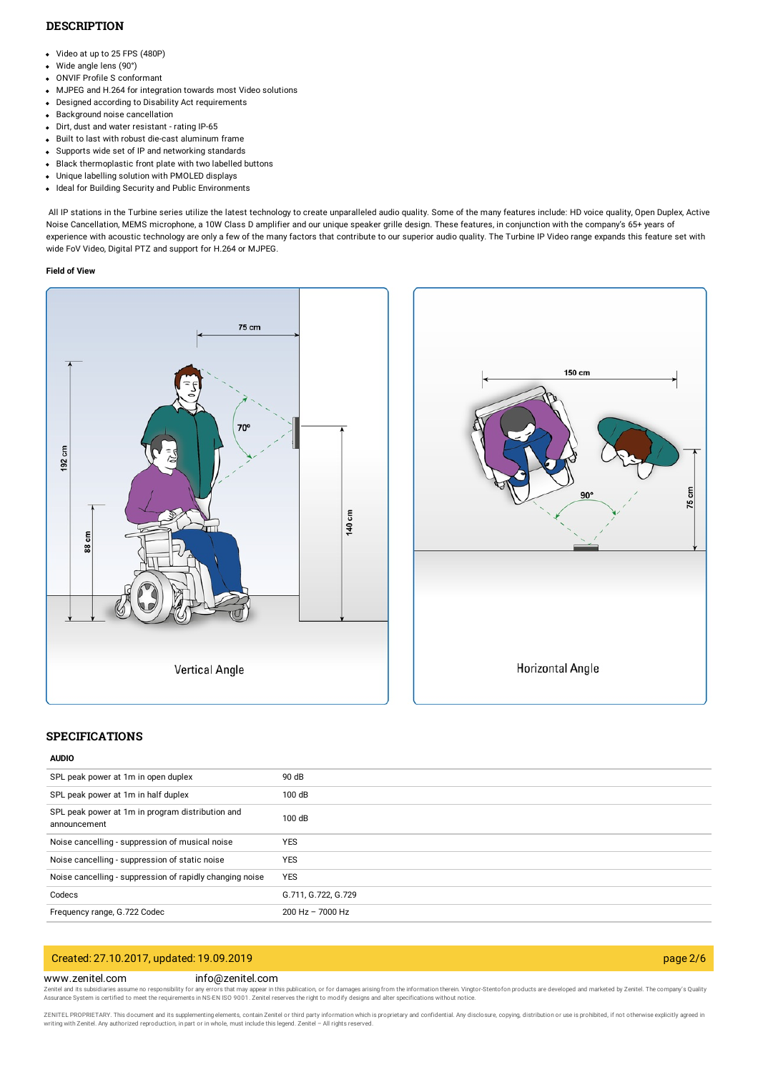# **DESCRIPTION**

- Video at up to 25 FPS (480P)
- Wide angle lens (90°)
- ONVIF Profile S conformant
- MJPEG and H.264 for integration towards most Video solutions
- Designed according to Disability Act requirements
- Background noise cancellation
- Dirt, dust and water resistant rating IP-65
- Built to last with robust die-cast aluminum frame
- Supports wide set of IP and networking standards
- Black thermoplastic front plate with two labelled buttons
- Unique labelling solution with PMOLED displays
- Ideal for Building Security and Public Environments

All IP stations in the Turbine series utilize the latest technology to create unparalleled audio quality. Some of the many features include: HD voice quality, Open Duplex, Active Noise Cancellation, MEMS microphone, a 10W Class D amplifier and our unique speaker grille design. These features, in conjunction with the company's 65+ years of experience with acoustic technology are only a few of the many factors that contribute to our superior audio quality. The Turbine IP Video range expands this feature set with wide FoV Video, Digital PTZ and support for H.264 or MJPEG.

#### **Field of View**





### **SPECIFICATIONS**

# **AUDIO**

| SPL peak power at 1m in open duplex                              | 90 dB               |
|------------------------------------------------------------------|---------------------|
| SPL peak power at 1m in half duplex                              | 100 dB              |
| SPL peak power at 1m in program distribution and<br>announcement | 100 dB              |
| Noise cancelling - suppression of musical noise                  | <b>YES</b>          |
| Noise cancelling - suppression of static noise                   | <b>YES</b>          |
| Noise cancelling - suppression of rapidly changing noise         | <b>YES</b>          |
| Codecs                                                           | G.711, G.722, G.729 |
| Frequency range, G.722 Codec                                     | 200 Hz - 7000 Hz    |

# Created: 27.10.2017, updated: 19.09.2019 page 2/6

#### www.zenitel.com info@zenitel.com

Zenitel and its subsidiaries assume no responsibility for any errors that may appear in this publication, or for damages arising from the information therein. Vingtor-Stentofon products are developed and marketed by Zenite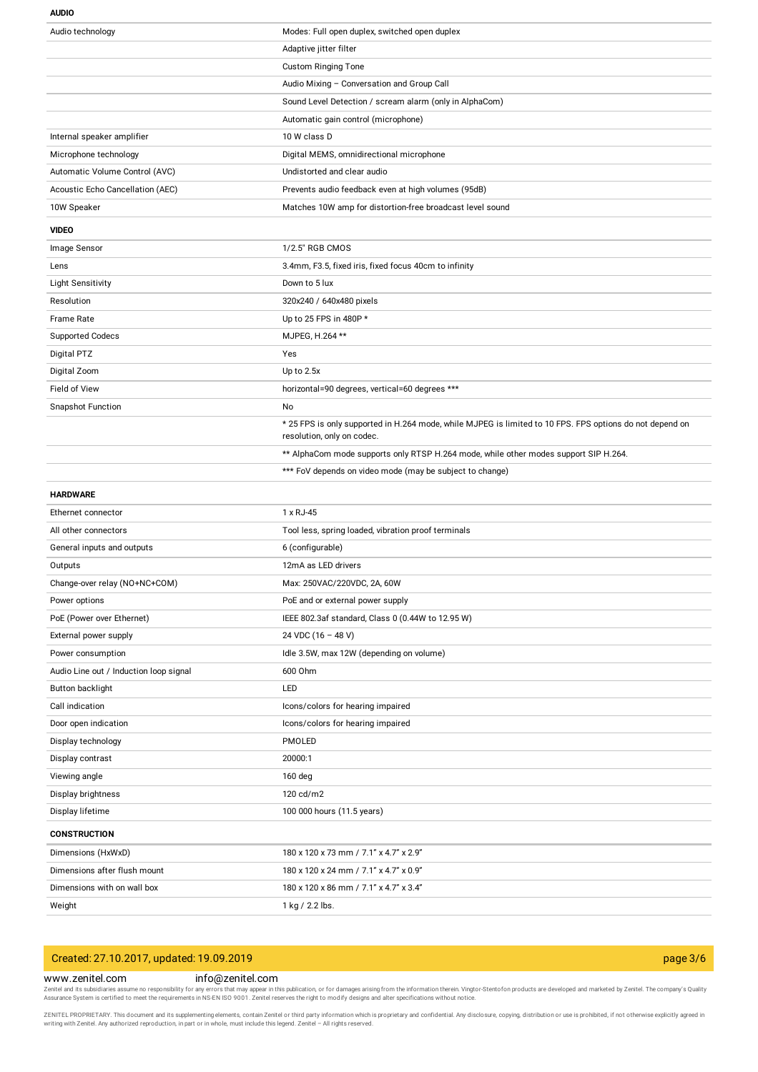#### **AUDIO**

| Audio technology                       | Modes: Full open duplex, switched open duplex                                                                                          |
|----------------------------------------|----------------------------------------------------------------------------------------------------------------------------------------|
|                                        | Adaptive jitter filter                                                                                                                 |
|                                        | <b>Custom Ringing Tone</b>                                                                                                             |
|                                        | Audio Mixing - Conversation and Group Call                                                                                             |
|                                        | Sound Level Detection / scream alarm (only in AlphaCom)                                                                                |
|                                        | Automatic gain control (microphone)                                                                                                    |
| Internal speaker amplifier             | 10 W class D                                                                                                                           |
| Microphone technology                  | Digital MEMS, omnidirectional microphone                                                                                               |
| Automatic Volume Control (AVC)         | Undistorted and clear audio                                                                                                            |
| Acoustic Echo Cancellation (AEC)       | Prevents audio feedback even at high volumes (95dB)                                                                                    |
| 10W Speaker                            | Matches 10W amp for distortion-free broadcast level sound                                                                              |
| <b>VIDEO</b>                           |                                                                                                                                        |
| Image Sensor                           | 1/2.5" RGB CMOS                                                                                                                        |
| Lens                                   | 3.4mm, F3.5, fixed iris, fixed focus 40cm to infinity                                                                                  |
| <b>Light Sensitivity</b>               | Down to 5 lux                                                                                                                          |
| Resolution                             | 320x240 / 640x480 pixels                                                                                                               |
| <b>Frame Rate</b>                      | Up to 25 FPS in 480P *                                                                                                                 |
| <b>Supported Codecs</b>                | MJPEG, H.264 **                                                                                                                        |
| Digital PTZ                            | Yes                                                                                                                                    |
| Digital Zoom                           | Up to $2.5x$                                                                                                                           |
| Field of View                          | horizontal=90 degrees, vertical=60 degrees ***                                                                                         |
| <b>Snapshot Function</b>               | No                                                                                                                                     |
|                                        | * 25 FPS is only supported in H.264 mode, while MJPEG is limited to 10 FPS. FPS options do not depend on<br>resolution, only on codec. |
|                                        | ** AlphaCom mode supports only RTSP H.264 mode, while other modes support SIP H.264.                                                   |
|                                        | *** FoV depends on video mode (may be subject to change)                                                                               |
|                                        |                                                                                                                                        |
| <b>HARDWARE</b>                        |                                                                                                                                        |
| Ethernet connector                     | 1 x RJ-45                                                                                                                              |
| All other connectors                   | Tool less, spring loaded, vibration proof terminals                                                                                    |
| General inputs and outputs             | 6 (configurable)                                                                                                                       |
| Outputs                                | 12mA as LED drivers                                                                                                                    |
| Change-over relay (NO+NC+COM)          | Max: 250VAC/220VDC, 2A, 60W                                                                                                            |
| Power options                          | PoE and or external power supply                                                                                                       |
| PoE (Power over Ethernet)              | IEEE 802.3af standard, Class 0 (0.44W to 12.95 W)                                                                                      |
| External power supply                  | 24 VDC (16 - 48 V)                                                                                                                     |
| Power consumption                      | Idle 3.5W, max 12W (depending on volume)                                                                                               |
| Audio Line out / Induction loop signal | 600 Ohm                                                                                                                                |
| Button backlight                       | LED                                                                                                                                    |
| Call indication                        | Icons/colors for hearing impaired                                                                                                      |
| Door open indication                   | Icons/colors for hearing impaired                                                                                                      |
| Display technology                     | PMOLED                                                                                                                                 |
| Display contrast                       | 20000:1                                                                                                                                |
| Viewing angle                          | 160 deg                                                                                                                                |
| Display brightness                     | 120 cd/m2                                                                                                                              |
| Display lifetime                       | 100 000 hours (11.5 years)                                                                                                             |
| <b>CONSTRUCTION</b>                    |                                                                                                                                        |
| Dimensions (HxWxD)                     | 180 x 120 x 73 mm / 7.1" x 4.7" x 2.9"                                                                                                 |
| Dimensions after flush mount           | 180 x 120 x 24 mm / 7.1" x 4.7" x 0.9"                                                                                                 |
| Dimensions with on wall box            | 180 x 120 x 86 mm / 7.1" x 4.7" x 3.4"                                                                                                 |

# Created: 27.10.2017, updated: 19.09.2019 page 3/6

### www.zenitel.com info@zenitel.com

Zenitel and its subsidiaries assume no responsibility for any errors that may appear in this publication, or for damages arising from the information therein. Vingtor-Stentofon products are developed and marketed by Zenite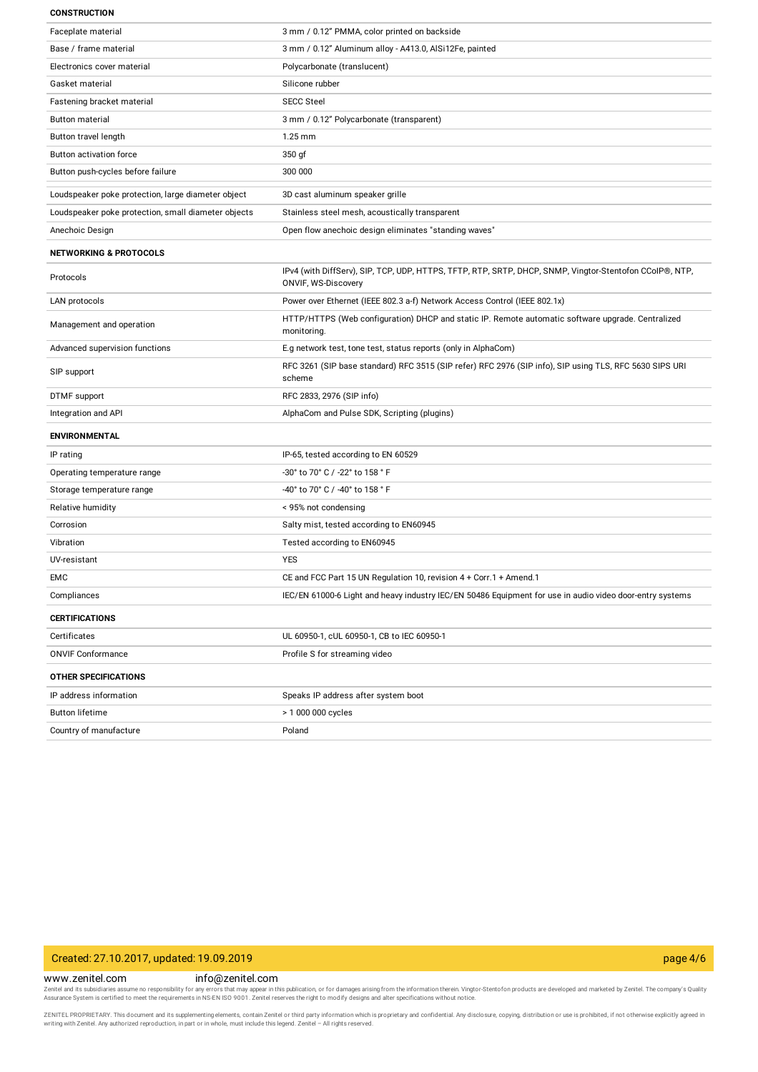#### **CONSTRUCTION**

| Faceplate material                                  | 3 mm / 0.12" PMMA, color printed on backside                                                                                   |
|-----------------------------------------------------|--------------------------------------------------------------------------------------------------------------------------------|
| Base / frame material                               | 3 mm / 0.12" Aluminum alloy - A413.0, AlSi12Fe, painted                                                                        |
| Electronics cover material                          | Polycarbonate (translucent)                                                                                                    |
| Gasket material                                     | Silicone rubber                                                                                                                |
| Fastening bracket material                          | <b>SECC Steel</b>                                                                                                              |
| <b>Button material</b>                              | 3 mm / 0.12" Polycarbonate (transparent)                                                                                       |
| Button travel length                                | $1.25$ mm                                                                                                                      |
| Button activation force                             | 350 gf                                                                                                                         |
| Button push-cycles before failure                   | 300 000                                                                                                                        |
| Loudspeaker poke protection, large diameter object  | 3D cast aluminum speaker grille                                                                                                |
| Loudspeaker poke protection, small diameter objects | Stainless steel mesh, acoustically transparent                                                                                 |
| Anechoic Design                                     | Open flow anechoic design eliminates "standing waves"                                                                          |
| <b>NETWORKING &amp; PROTOCOLS</b>                   |                                                                                                                                |
| Protocols                                           | IPv4 (with DiffServ), SIP, TCP, UDP, HTTPS, TFTP, RTP, SRTP, DHCP, SNMP, Vingtor-Stentofon CCoIP®, NTP,<br>ONVIF, WS-Discovery |
| LAN protocols                                       | Power over Ethernet (IEEE 802.3 a-f) Network Access Control (IEEE 802.1x)                                                      |
| Management and operation                            | HTTP/HTTPS (Web configuration) DHCP and static IP. Remote automatic software upgrade. Centralized<br>monitoring.               |
| Advanced supervision functions                      | E.g network test, tone test, status reports (only in AlphaCom)                                                                 |
| SIP support                                         | RFC 3261 (SIP base standard) RFC 3515 (SIP refer) RFC 2976 (SIP info), SIP using TLS, RFC 5630 SIPS URI<br>scheme              |
| DTMF support                                        | RFC 2833, 2976 (SIP info)                                                                                                      |
| Integration and API                                 | AlphaCom and Pulse SDK, Scripting (plugins)                                                                                    |
| <b>ENVIRONMENTAL</b>                                |                                                                                                                                |
| IP rating                                           | IP-65, tested according to EN 60529                                                                                            |
| Operating temperature range                         | -30° to 70° C / -22° to 158 ° F                                                                                                |
| Storage temperature range                           | -40° to 70° C / -40° to 158 ° F                                                                                                |
| Relative humidity                                   | < 95% not condensing                                                                                                           |
| Corrosion                                           | Salty mist, tested according to EN60945                                                                                        |
| Vibration                                           | Tested according to EN60945                                                                                                    |
| UV-resistant                                        | <b>YES</b>                                                                                                                     |
| EMC                                                 | CE and FCC Part 15 UN Regulation 10, revision 4 + Corr.1 + Amend.1                                                             |
| Compliances                                         | IEC/EN 61000-6 Light and heavy industry IEC/EN 50486 Equipment for use in audio video door-entry systems                       |
| <b>CERTIFICATIONS</b>                               |                                                                                                                                |
| Certificates                                        | UL 60950-1, cUL 60950-1, CB to IEC 60950-1                                                                                     |
| <b>ONVIF Conformance</b>                            | Profile S for streaming video                                                                                                  |
| <b>OTHER SPECIFICATIONS</b>                         |                                                                                                                                |
| IP address information                              | Speaks IP address after system boot                                                                                            |
| <b>Button lifetime</b>                              | > 1 000 000 cycles                                                                                                             |
| Country of manufacture                              | Poland                                                                                                                         |

# Created: 27.10.2017, updated: 19.09.2019 page 4/6

www.zenitel.com info@zenitel.com

Zenitel and its subsidiaries assume no responsibility for any errors that may appear in this publication, or for damages arising from the information therein. Vingtor-Stentofon products are developed and marketed by Zenite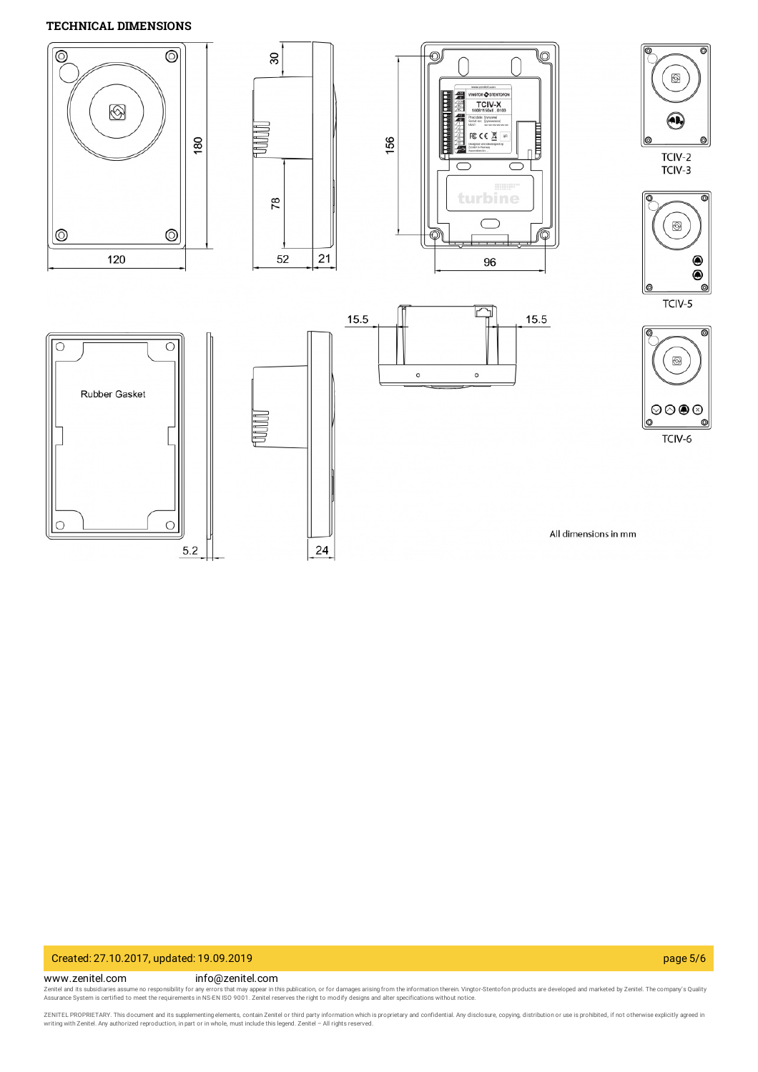# **TECHNICAL DIMENSIONS**



# Created: 27.10.2017, updated: 19.09.2019 page 5/6

## www.zenitel.com info@zenitel.com

Zenitel and its subsidiaries assume no responsibility for any errors that may appear in this publication, or for damages arising from the information therein. Vingtor-Stentofon products are developed and marketed by Zenite